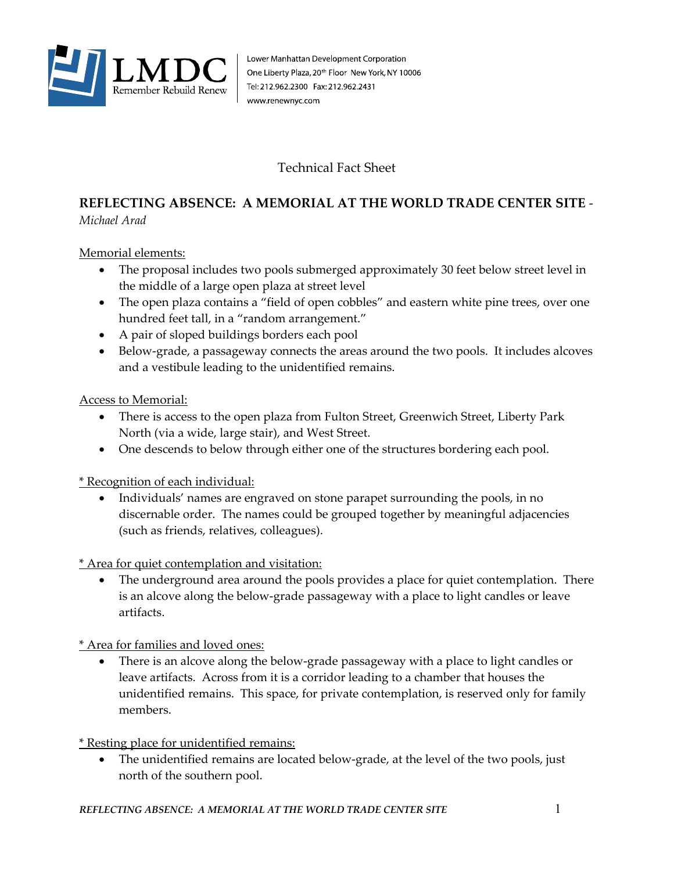

## Technical Fact Sheet

## **REFLECTING ABSENCE: A MEMORIAL AT THE WORLD TRADE CENTER SITE** - *Michael Arad*

Memorial elements:

- The proposal includes two pools submerged approximately 30 feet below street level in the middle of a large open plaza at street level
- The open plaza contains a "field of open cobbles" and eastern white pine trees, over one hundred feet tall, in a "random arrangement."
- A pair of sloped buildings borders each pool
- Below-grade, a passageway connects the areas around the two pools. It includes alcoves and a vestibule leading to the unidentified remains.

## Access to Memorial:

- There is access to the open plaza from Fulton Street, Greenwich Street, Liberty Park North (via a wide, large stair), and West Street.
- One descends to below through either one of the structures bordering each pool.

\* Recognition of each individual:

• Individuals' names are engraved on stone parapet surrounding the pools, in no discernable order. The names could be grouped together by meaningful adjacencies (such as friends, relatives, colleagues).

\* Area for quiet contemplation and visitation:

• The underground area around the pools provides a place for quiet contemplation. There is an alcove along the below-grade passageway with a place to light candles or leave artifacts.

\* Area for families and loved ones:

• There is an alcove along the below-grade passageway with a place to light candles or leave artifacts. Across from it is a corridor leading to a chamber that houses the unidentified remains. This space, for private contemplation, is reserved only for family members.

\* Resting place for unidentified remains:

• The unidentified remains are located below-grade, at the level of the two pools, just north of the southern pool.